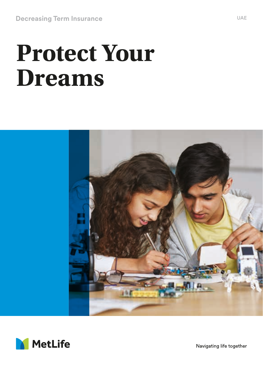# **Protect Your Dreams**





Navigating life together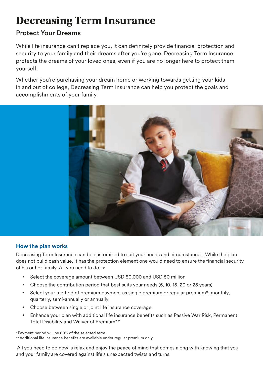## **Decreasing Term Insurance**

#### Protect Your Dreams

While life insurance can't replace you, it can definitely provide financial protection and security to your family and their dreams after you're gone. Decreasing Term Insurance protects the dreams of your loved ones, even if you are no longer here to protect them yourself.

Whether you're purchasing your dream home or working towards getting your kids in and out of college, Decreasing Term Insurance can help you protect the goals and accomplishments of your family.



#### **How the plan works**

Decreasing Term Insurance can be customized to suit your needs and circumstances. While the plan does not build cash value, it has the protection element one would need to ensure the financial security of his or her family. All you need to do is:

- Select the coverage amount between USD 50,000 and USD 50 million
- Choose the contribution period that best suits your needs (5, 10, 15, 20 or 25 years)
- Select your method of premium payment as single premium or regular premium\*: monthly, quarterly, semi-annually or annually
- Choose between single or joint life insurance coverage
- Enhance your plan with additional life insurance benefits such as Passive War Risk, Permanent Total Disability and Waiver of Premium\*\*

\*Payment period will be 80% of the selected term.

\*\*Additional life insurance benefits are available under regular premium only.

All you need to do now is relax and enjoy the peace of mind that comes along with knowing that you and your family are covered against life's unexpected twists and turns.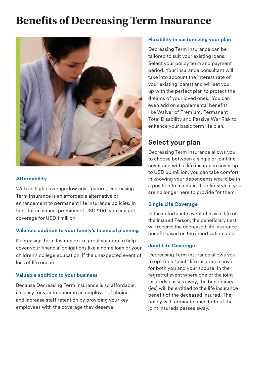### **Benefits of Decreasing Term Insurance**



#### **Affordability**

With its high coverage-low cost feature, Decreasing Term Insurance is an affordable alternative or enhancement to permanent life insurance policies. In fact, for an annual premium of USD 900, you can get coverage for USD 1 million!

#### **Valuable addition to your family's financial planning**

Decreasing Term Insurance is a great solution to help cover your financial obligations like a home loan or your children's college education, if the unexpected event of loss of life occurs.

#### **Valuable addition to your business**

Because Decreasing Term Insurance is so affordable, it's easy for you to become an employer of choice and increase staff retention by providing your key employees with the coverage they deserve.

#### **Flexibility in customizing your plan**

Decreasing Term Insurance can be tailored to suit your existing loans. Select your policy term and payment period. Your insurance consultant will take into account the interest rate of your existing loan(s) and will set you up with the perfect plan to protect the dreams of your loved ones. You can even add on supplemental benefits like Waiver of Premium, Permanent Total Disability and Passive War Risk to enhance your basic term life plan.

#### **Select your plan**

Decreasing Term Insurance allows you to choose between a single or joint life cover and with a life insurance cover up to USD 50 million, you can take comfort in knowing your dependents would be in a position to maintain their lifestyle if you are no longer here to provide for them.

#### **Single Life Coverage**

In the unfortunate event of loss of life of the Insured Person, the beneficiary (ies) will receive the decreased life insurance benefit based on the amortization table.

#### **Joint Life Coverage**

Decreasing Term Insurance allows you to opt for a "joint" life insurance cover for both you and your spouse. In the regretful event where one of the joint insureds passes away, the beneficiary (ies) will be entitled to the life insurance benefit of the deceased insured. The policy will terminate once both of the joint insureds passes away.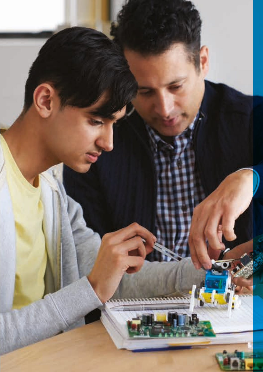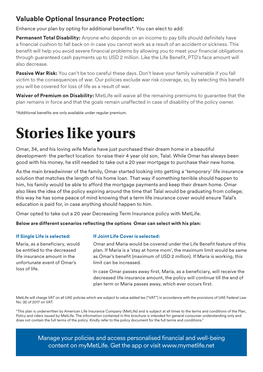#### **Valuable Optional Insurance Protection:**

Enhance your plan by opting for additional benefits\*. You can elect to add:

**Permanent Total Disability:** Anyone who depends on an income to pay bills should definitely have a financial cushion to fall back on in case you cannot work as a result of an accident or sickness. This benefit will help you avoid severe financial problems by allowing you to meet your financial obligations through guaranteed cash payments up to USD 2 million. Like the Life Benefit, PTD's face amount will also decrease.

Passive War Risk: You can't be too careful these days. Don't leave your family vulnerable if you fall victim to the consequences of war. Our policies exclude war risk coverage, so, by selecting this benefit you will be covered for loss of life as a result of war.

**Waiver of Premium on Disability:** MetLife will waive all the remaining premiums to guarantee that the plan remains in force and that the goals remain unaffected in case of disability of the policy owner.

\*Additional benefits are only available under regular premium.

# **Stories like yours**

Omar, 34, and his loving wife Maria have just purchased their dream home in a beautiful development- the perfect location to raise their 4 year old son, Talal. While Omar has always been good with his money, he still needed to take out a 20 year mortgage to purchase their new home.

As the main breadwinner of the family, Omar started looking into getting a 'temporary' life insurance solution that matches the length of his home loan. That way if something terrible should happen to him, his family would be able to afford the mortgage payments and keep their dream home. Omar also likes the idea of the policy expiring around the time that Talal would be graduating from college; this way he has some peace of mind knowing that a term life insurance cover would ensure Talal's education is paid for, in case anything should happen to him.

Omar opted to take out a 20 year Decreasing Term Insurance policy with MetLife.

#### **Below are different scenarios reflecting the options Omar can select with his plan:**

#### **If Single Life is selected:**

Maria, as a beneficiary, would be entitled to the decreased life insurance amount in the unfortunate event of Omar's loss of life.

#### **If Joint Life Cover is selected:**

Omar and Maria would be covered under the Life Benefit feature of this plan. If Maria is a 'stay at home mom', the maximum limit would be same as Omar's benefit (maximum of USD 2 million). If Maria is working, this limit can be increased.

In case Omar passes away first, Maria, as a beneficiary, will receive the decreased life insurance amount, the policy will continue till the end of plan term or Maria passes away, which ever occurs first.

MetLife will charge VAT on all UAE policies which are subject to value added tax ("VAT") in accordance with the provisions of UAE Federal Law No. (8) of 2017 on VAT.

"This plan is underwritten by American Life Insurance Company (MetLife) and is subject at all times to the terms and conditions of the Plan, Policy and riders issued by MetLife. The information contained in this brochure is intended for general consumer understanding only and does not contain the full terms of the policy. Kindly refer to the policy document for the full terms and conditions."

Manage your policies and access personalised financial and well-being content on myMetLife. Get the app or visit www.mymetlife.net